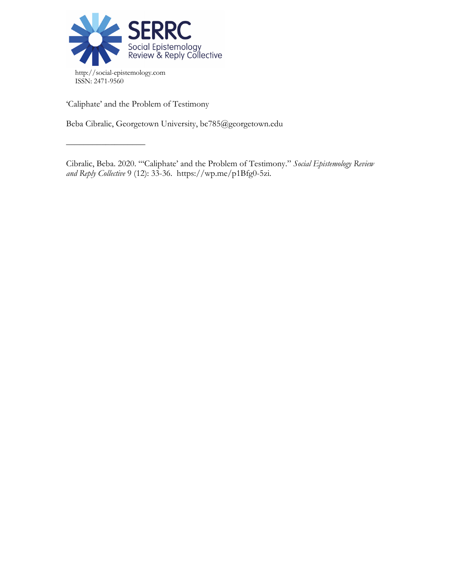

'Caliphate' and the Problem of Testimony

––––––––––––––––––

Beba Cibralic, Georgetown University, bc785@georgetown.edu

Cibralic, Beba. 2020. "'Caliphate' and the Problem of Testimony." *Social Epistemology Review and Reply Collective* 9 (12): 33-36. https://wp.me/p1Bfg0-5zi.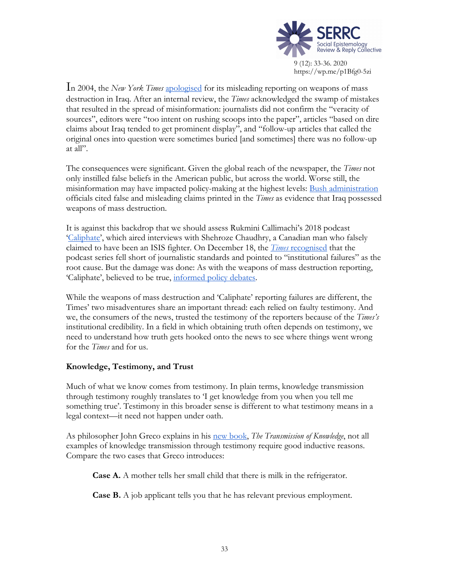

In 2004, the *New York Times* apologised for its misleading reporting on weapons of mass destruction in Iraq. After an internal review, the *Times* acknowledged the swamp of mistakes that resulted in the spread of misinformation: journalists did not confirm the "veracity of sources", editors were "too intent on rushing scoops into the paper", articles "based on dire claims about Iraq tended to get prominent display", and "follow-up articles that called the original ones into question were sometimes buried [and sometimes] there was no follow-up at all".

The consequences were significant. Given the global reach of the newspaper, the *Times* not only instilled false beliefs in the American public, but across the world. Worse still, the misinformation may have impacted policy-making at the highest levels: Bush administration officials cited false and misleading claims printed in the *Times* as evidence that Iraq possessed weapons of mass destruction.

It is against this backdrop that we should assess Rukmini Callimachi's 2018 podcast 'Caliphate', which aired interviews with Shehroze Chaudhry, a Canadian man who falsely claimed to have been an ISIS fighter. On December 18, the *Times* recognised that the podcast series fell short of journalistic standards and pointed to "institutional failures" as the root cause. But the damage was done: As with the weapons of mass destruction reporting, 'Caliphate', believed to be true, informed policy debates.

While the weapons of mass destruction and 'Caliphate' reporting failures are different, the Times' two misadventures share an important thread: each relied on faulty testimony. And we, the consumers of the news, trusted the testimony of the reporters because of the *Times's* institutional credibility. In a field in which obtaining truth often depends on testimony, we need to understand how truth gets hooked onto the news to see where things went wrong for the *Times* and for us.

## **Knowledge, Testimony, and Trust**

Much of what we know comes from testimony. In plain terms, knowledge transmission through testimony roughly translates to 'I get knowledge from you when you tell me something true'. Testimony in this broader sense is different to what testimony means in a legal context—it need not happen under oath.

As philosopher John Greco explains in his new book, *The Transmission of Knowledge*, not all examples of knowledge transmission through testimony require good inductive reasons. Compare the two cases that Greco introduces:

**Case A.** A mother tells her small child that there is milk in the refrigerator.

**Case B.** A job applicant tells you that he has relevant previous employment.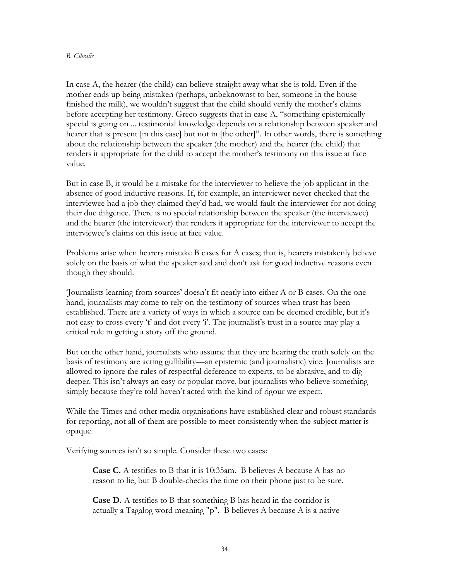## *B. Cibralic*

In case A, the hearer (the child) can believe straight away what she is told. Even if the mother ends up being mistaken (perhaps, unbeknownst to her, someone in the house finished the milk), we wouldn't suggest that the child should verify the mother's claims before accepting her testimony. Greco suggests that in case A, "something epistemically special is going on ... testimonial knowledge depends on a relationship between speaker and hearer that is present [in this case] but not in [the other]". In other words, there is something about the relationship between the speaker (the mother) and the hearer (the child) that renders it appropriate for the child to accept the mother's testimony on this issue at face value.

But in case B, it would be a mistake for the interviewer to believe the job applicant in the absence of good inductive reasons. If, for example, an interviewer never checked that the interviewee had a job they claimed they'd had, we would fault the interviewer for not doing their due diligence. There is no special relationship between the speaker (the interviewee) and the hearer (the interviewer) that renders it appropriate for the interviewer to accept the interviewee's claims on this issue at face value.

Problems arise when hearers mistake B cases for A cases; that is, hearers mistakenly believe solely on the basis of what the speaker said and don't ask for good inductive reasons even though they should.

'Journalists learning from sources' doesn't fit neatly into either A or B cases. On the one hand, journalists may come to rely on the testimony of sources when trust has been established. There are a variety of ways in which a source can be deemed credible, but it's not easy to cross every 't' and dot every 'i'. The journalist's trust in a source may play a critical role in getting a story off the ground.

But on the other hand, journalists who assume that they are hearing the truth solely on the basis of testimony are acting gullibility—an epistemic (and journalistic) vice. Journalists are allowed to ignore the rules of respectful deference to experts, to be abrasive, and to dig deeper. This isn't always an easy or popular move, but journalists who believe something simply because they're told haven't acted with the kind of rigour we expect.

While the Times and other media organisations have established clear and robust standards for reporting, not all of them are possible to meet consistently when the subject matter is opaque.

Verifying sources isn't so simple. Consider these two cases:

**Case C.** A testifies to B that it is 10:35am. B believes A because A has no reason to lie, but B double-checks the time on their phone just to be sure.

**Case D.** A testifies to B that something B has heard in the corridor is actually a Tagalog word meaning "p". B believes A because A is a native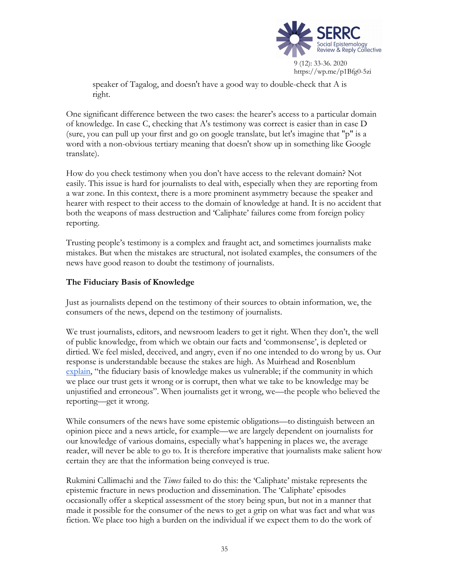

speaker of Tagalog, and doesn't have a good way to double-check that A is right.

One significant difference between the two cases: the hearer's access to a particular domain of knowledge. In case C, checking that A's testimony was correct is easier than in case D (sure, you can pull up your first and go on google translate, but let's imagine that "p" is a word with a non-obvious tertiary meaning that doesn't show up in something like Google translate).

How do you check testimony when you don't have access to the relevant domain? Not easily. This issue is hard for journalists to deal with, especially when they are reporting from a war zone. In this context, there is a more prominent asymmetry because the speaker and hearer with respect to their access to the domain of knowledge at hand. It is no accident that both the weapons of mass destruction and 'Caliphate' failures come from foreign policy reporting.

Trusting people's testimony is a complex and fraught act, and sometimes journalists make mistakes. But when the mistakes are structural, not isolated examples, the consumers of the news have good reason to doubt the testimony of journalists.

## **The Fiduciary Basis of Knowledge**

Just as journalists depend on the testimony of their sources to obtain information, we, the consumers of the news, depend on the testimony of journalists.

We trust journalists, editors, and newsroom leaders to get it right. When they don't, the well of public knowledge, from which we obtain our facts and 'commonsense', is depleted or dirtied. We feel misled, deceived, and angry, even if no one intended to do wrong by us. Our response is understandable because the stakes are high. As Muirhead and Rosenblum explain, "the fiduciary basis of knowledge makes us vulnerable; if the community in which we place our trust gets it wrong or is corrupt, then what we take to be knowledge may be unjustified and erroneous". When journalists get it wrong, we—the people who believed the reporting—get it wrong.

While consumers of the news have some epistemic obligations—to distinguish between an opinion piece and a news article, for example—we are largely dependent on journalists for our knowledge of various domains, especially what's happening in places we, the average reader, will never be able to go to. It is therefore imperative that journalists make salient how certain they are that the information being conveyed is true.

Rukmini Callimachi and the *Times* failed to do this: the 'Caliphate' mistake represents the epistemic fracture in news production and dissemination. The 'Caliphate' episodes occasionally offer a skeptical assessment of the story being spun, but not in a manner that made it possible for the consumer of the news to get a grip on what was fact and what was fiction. We place too high a burden on the individual if we expect them to do the work of